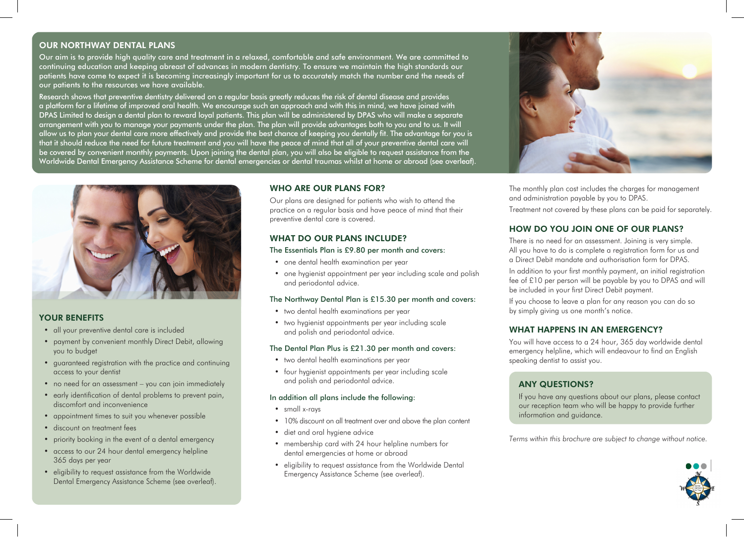# OUR NORTHWAY DENTAL PLANS

Our aim is to provide high quality care and treatment in a relaxed, comfortable and safe environment. We are committed to continuing education and keeping abreast of advances in modern dentistry. To ensure we maintain the high standards our patients have come to expect it is becoming increasingly important for us to accurately match the number and the needs of our patients to the resources we have available.

Research shows that preventive dentistry delivered on a regular basis greatly reduces the risk of dental disease and provides a platform for a lifetime of improved oral health. We encourage such an approach and with this in mind, we have joined with DPAS Limited to design a dental plan to reward loyal patients. This plan will be administered by DPAS who will make a separate arrangement with you to manage your payments under the plan. The plan will provide advantages both to you and to us. It will allow us to plan your dental care more effectively and provide the best chance of keeping you dentally fit. The advantage for you is that it should reduce the need for future treatment and you will have the peace of mind that all of your preventive dental care will be covered by convenient monthly payments. Upon joining the dental plan, you will also be eligible to request assistance from the Worldwide Dental Emergency Assistance Scheme for dental emergencies or dental traumas whilst at home or abroad (see overleaf).



### YOUR BENEFITS

- all your preventive dental care is included
- payment by convenient monthly Direct Debit, allowing you to budget
- guaranteed registration with the practice and continuing access to your dentist
- no need for an assessment you can join immediately
- early identification of dental problems to prevent pain, discomfort and inconvenience
- appointment times to suit you whenever possible
- discount on treatment fees
- priority booking in the event of a dental emergency
- access to our 24 hour dental emergency helpline 365 days per year
- eligibility to request assistance from the Worldwide Dental Emergency Assistance Scheme (see overleaf).

# WHO ARE OUR PLANS FOR?

Our plans are designed for patients who wish to attend the practice on a regular basis and have peace of mind that their preventive dental care is covered.

### WHAT DO OUR PLANS INCLUDE?

#### The Essentials Plan is £9.80 per month and covers:

- one dental health examination per year
- one hygienist appointment per year including scale and polish and periodontal advice.

#### The Northway Dental Plan is £15.30 per month and covers:

- two dental health examinations per year
- two hygienist appointments per year including scale and polish and periodontal advice.

#### The Dental Plan Plus is £21.30 per month and covers:

- two dental health examinations per year
- four hygienist appointments per year including scale and polish and periodontal advice.

### In addition all plans include the following:

- small x-rays
- 10% discount on all treatment over and above the plan content
- diet and oral hygiene advice
- membership card with 24 hour helpline numbers for dental emergencies at home or abroad
- eligibility to request assistance from the Worldwide Dental Emergency Assistance Scheme (see overleaf).



The monthly plan cost includes the charges for management and administration payable by you to DPAS.

Treatment not covered by these plans can be paid for separately.

# HOW DO YOU JOIN ONE OF OUR PLANS?

There is no need for an assessment. Joining is very simple. All you have to do is complete a registration form for us and a Direct Debit mandate and authorisation form for DPAS.

In addition to your first monthly payment, an initial registration fee of £10 per person will be payable by you to DPAS and will be included in your first Direct Debit payment.

If you choose to leave a plan for any reason you can do so by simply giving us one month's notice.

# WHAT HAPPENS IN AN EMERGENCY?

You will have access to a 24 hour, 365 day worldwide dental emergency helpline, which will endeavour to find an English speaking dentist to assist you.

# ANY QUESTIONS?

If you have any questions about our plans, please contact our reception team who will be happy to provide further information and guidance.

*Terms within this brochure are subject to change without notice.*